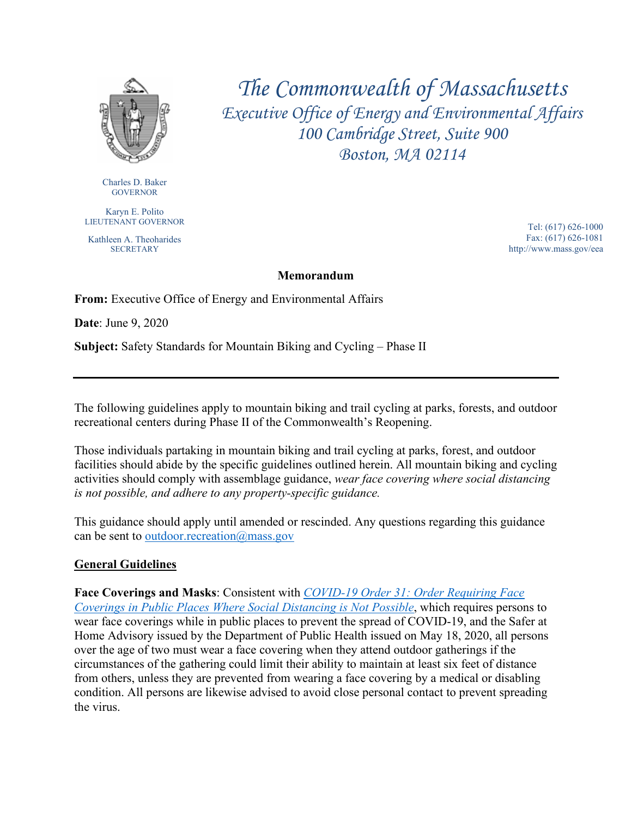

Charles D. Baker GOVERNOR

Karyn E. Polito LIEUTENANT GOVERNOR

Kathleen A. Theoharides **SECRETARY** 

*The Commonwealth of Massachusetts Executive Office of Energy and Environmental Affairs 100 Cambridge Street, Suite 900 Boston, MA 02114*

> Tel: (617) 626-1000 Fax: (617) 626-1081 http://www.mass.gov/eea

## **Memorandum**

**From:** Executive Office of Energy and Environmental Affairs

**Date**: June 9, 2020

**Subject:** Safety Standards for Mountain Biking and Cycling – Phase II

The following guidelines apply to mountain biking and trail cycling at parks, forests, and outdoor recreational centers during Phase II of the Commonwealth's Reopening.

Those individuals partaking in mountain biking and trail cycling at parks, forest, and outdoor facilities should abide by the specific guidelines outlined herein. All mountain biking and cycling activities should comply with assemblage guidance, *wear face covering where social distancing is not possible, and adhere to any property-specific guidance.* 

This guidance should apply until amended or rescinded. Any questions regarding this guidance can be sent to [outdoor.recreation@mass.gov](mailto:outdoor.recreation@mass.gov)

## **General Guidelines**

**Face Coverings and Masks**: Consistent with *[COVID-19 Order 31: Order Requiring Face](https://www.mass.gov/doc/may-1-2020-masks-and-face-coverings/download)  [Coverings in Public Places Where Social Distancing is Not Possible](https://www.mass.gov/doc/may-1-2020-masks-and-face-coverings/download)*, which requires persons to wear face coverings while in public places to prevent the spread of COVID-19, and the Safer at Home Advisory issued by the Department of Public Health issued on May 18, 2020, all persons over the age of two must wear a face covering when they attend outdoor gatherings if the circumstances of the gathering could limit their ability to maintain at least six feet of distance from others, unless they are prevented from wearing a face covering by a medical or disabling condition. All persons are likewise advised to avoid close personal contact to prevent spreading the virus.